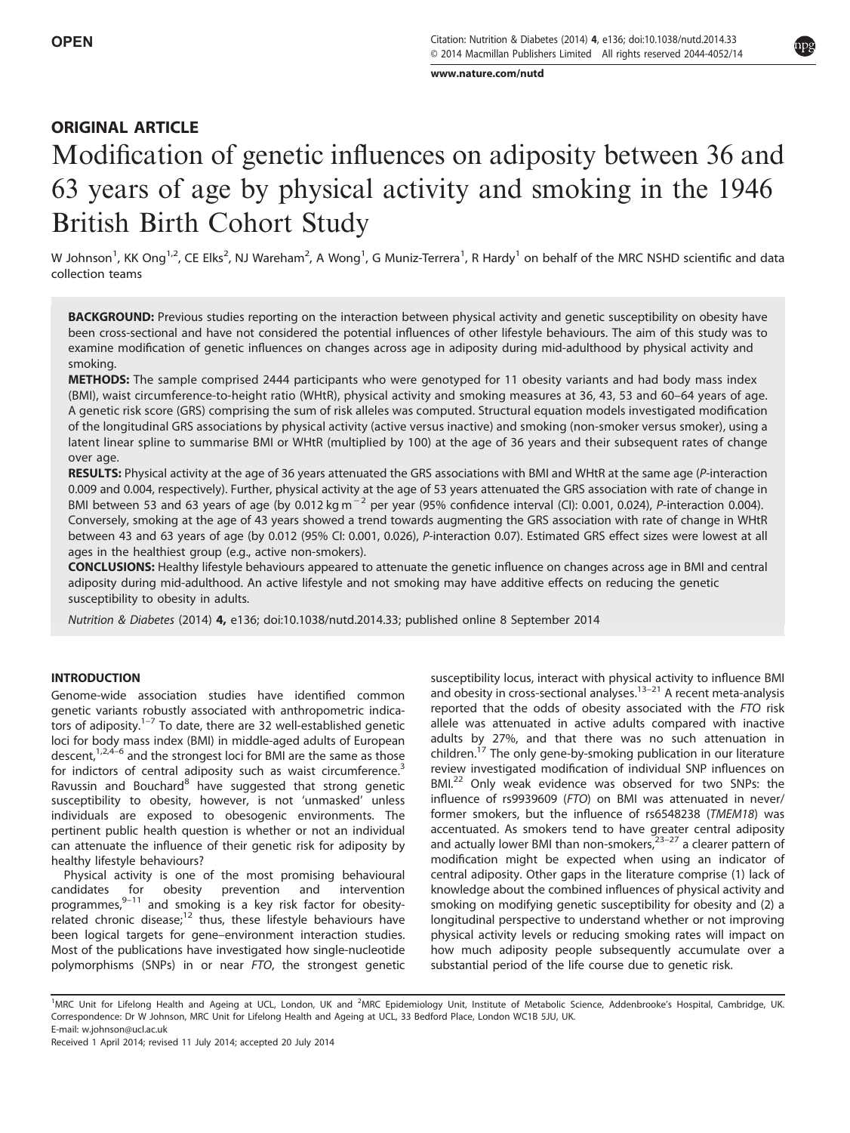[www.nature.com/nutd](http://www.nature.com/nutd)

### ORIGINAL ARTICLE

## Modification of genetic influences on adiposity between 36 and 63 years of age by physical activity and smoking in the 1946 British Birth Cohort Study

W Johnson<sup>1</sup>, KK Ong<sup>1,2</sup>, CE Elks<sup>2</sup>, NJ Wareham<sup>2</sup>, A Wong<sup>1</sup>, G Muniz-Terrera<sup>1</sup>, R Hardy<sup>1</sup> on behalf of the MRC NSHD scientific and data collection teams

BACKGROUND: Previous studies reporting on the interaction between physical activity and genetic susceptibility on obesity have been cross-sectional and have not considered the potential influences of other lifestyle behaviours. The aim of this study was to examine modification of genetic influences on changes across age in adiposity during mid-adulthood by physical activity and smoking.

METHODS: The sample comprised 2444 participants who were genotyped for 11 obesity variants and had body mass index (BMI), waist circumference-to-height ratio (WHtR), physical activity and smoking measures at 36, 43, 53 and 60–64 years of age. A genetic risk score (GRS) comprising the sum of risk alleles was computed. Structural equation models investigated modification of the longitudinal GRS associations by physical activity (active versus inactive) and smoking (non-smoker versus smoker), using a latent linear spline to summarise BMI or WHtR (multiplied by 100) at the age of 36 years and their subsequent rates of change over age.

RESULTS: Physical activity at the age of 36 years attenuated the GRS associations with BMI and WHtR at the same age (P-interaction 0.009 and 0.004, respectively). Further, physical activity at the age of 53 years attenuated the GRS association with rate of change in BMI between 53 and 63 years of age (by 0.012 kg m<sup>-2</sup> per year (95% confidence interval (CI): 0.001, 0.024), P-interaction 0.004). Conversely, smoking at the age of 43 years showed a trend towards augmenting the GRS association with rate of change in WHtR between 43 and 63 years of age (by 0.012 (95% CI: 0.001, 0.026), P-interaction 0.07). Estimated GRS effect sizes were lowest at all ages in the healthiest group (e.g., active non-smokers).

CONCLUSIONS: Healthy lifestyle behaviours appeared to attenuate the genetic influence on changes across age in BMI and central adiposity during mid-adulthood. An active lifestyle and not smoking may have additive effects on reducing the genetic susceptibility to obesity in adults.

Nutrition & Diabetes (2014) 4, e136; doi[:10.1038/nutd.2014.33](http://dx.doi.org/10.1038/nutd.2014.33); published online 8 September 2014

#### INTRODUCTION

Genome-wide association studies have identified common genetic variants robustly associated with anthropometric indicators of adiposity. $1-7$  $1-7$  To date, there are 32 well-established genetic loci for body mass index (BMI) in middle-aged adults of European descent,<sup>[1](#page-5-0),[2](#page-5-0),4–[6](#page-5-0)</sup> and the strongest loci for BMI are the same as those for indictors of central adiposity such as waist circumference.<sup>[3](#page-5-0)</sup> Ravussin and Bouchard<sup>[8](#page-5-0)</sup> have suggested that strong genetic susceptibility to obesity, however, is not 'unmasked' unless individuals are exposed to obesogenic environments. The pertinent public health question is whether or not an individual can attenuate the influence of their genetic risk for adiposity by healthy lifestyle behaviours?

Physical activity is one of the most promising behavioural candidates for obesity prevention and intervention programmes, $9-11$  $9-11$  and smoking is a key risk factor for obesityrelated chronic disease; $12$  thus, these lifestyle behaviours have been logical targets for gene–environment interaction studies. Most of the publications have investigated how single-nucleotide polymorphisms (SNPs) in or near FTO, the strongest genetic susceptibility locus, interact with physical activity to influence BMI and obesity in cross-sectional analyses.<sup>13–[21](#page-5-0)</sup> A recent meta-analysis reported that the odds of obesity associated with the FTO risk allele was attenuated in active adults compared with inactive adults by 27%, and that there was no such attenuation in children.<sup>[17](#page-6-0)</sup> The only gene-by-smoking publication in our literature review investigated modification of individual SNP influences on BMI.<sup>[22](#page-6-0)</sup> Only weak evidence was observed for two SNPs: the influence of rs9939609 (FTO) on BMI was attenuated in never/ former smokers, but the influence of rs6548238 (TMEM18) was accentuated. As smokers tend to have greater central adiposity and actually lower BMI than non-smokers, $23-27$  $23-27$  a clearer pattern of modification might be expected when using an indicator of central adiposity. Other gaps in the literature comprise (1) lack of knowledge about the combined influences of physical activity and smoking on modifying genetic susceptibility for obesity and (2) a longitudinal perspective to understand whether or not improving physical activity levels or reducing smoking rates will impact on how much adiposity people subsequently accumulate over a substantial period of the life course due to genetic risk.

<sup>&</sup>lt;sup>1</sup>MRC Unit for Lifelong Health and Ageing at UCL, London, UK and <sup>2</sup>MRC Epidemiology Unit, Institute of Metabolic Science, Addenbrooke's Hospital, Cambridge, UK. Correspondence: Dr W Johnson, MRC Unit for Lifelong Health and Ageing at UCL, 33 Bedford Place, London WC1B 5JU, UK. E-mail: [w.johnson@ucl.ac.uk](mailto:w.johnson@ucl.ac.uk)

Received 1 April 2014; revised 11 July 2014; accepted 20 July 2014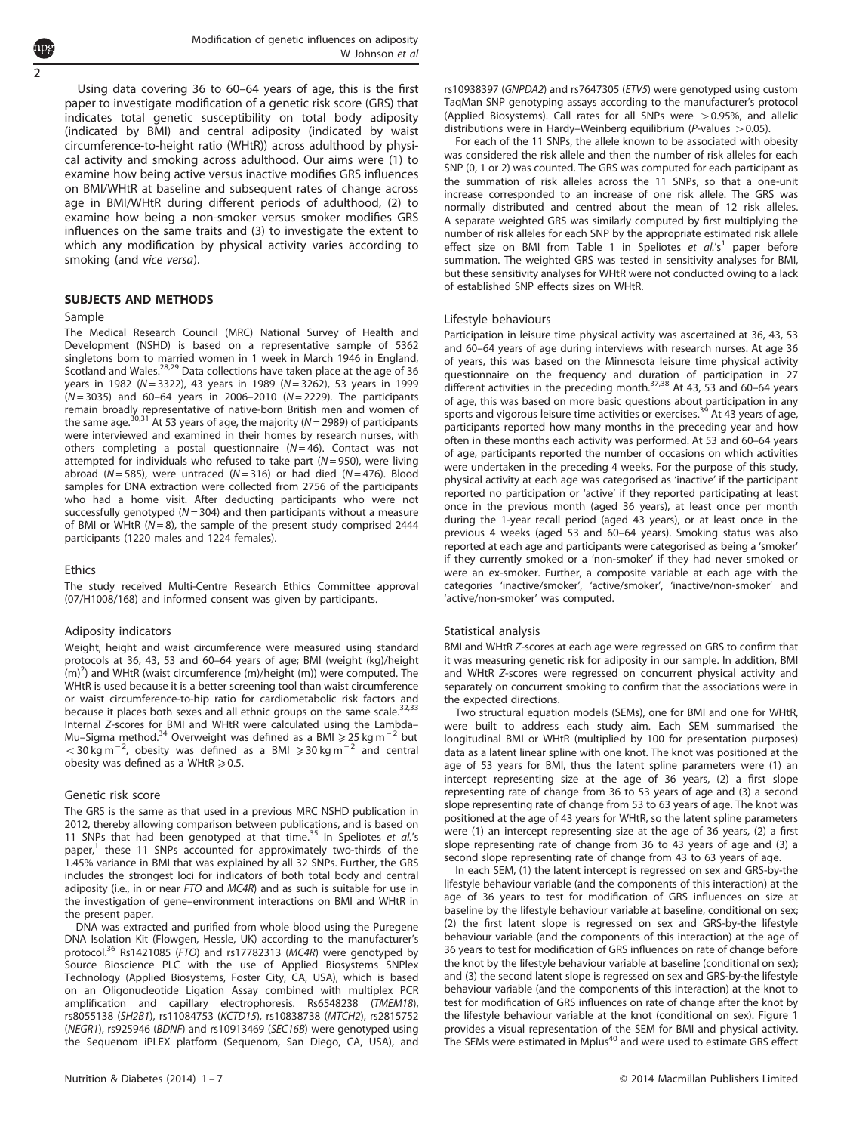Using data covering 36 to 60–64 years of age, this is the first paper to investigate modification of a genetic risk score (GRS) that indicates total genetic susceptibility on total body adiposity (indicated by BMI) and central adiposity (indicated by waist circumference-to-height ratio (WHtR)) across adulthood by physical activity and smoking across adulthood. Our aims were (1) to examine how being active versus inactive modifies GRS influences on BMI/WHtR at baseline and subsequent rates of change across age in BMI/WHtR during different periods of adulthood, (2) to examine how being a non-smoker versus smoker modifies GRS influences on the same traits and (3) to investigate the extent to which any modification by physical activity varies according to smoking (and vice versa).

#### SUBJECTS AND METHODS

#### Sample

The Medical Research Council (MRC) National Survey of Health and Development (NSHD) is based on a representative sample of 5362 singletons born to married women in 1 week in March 1946 in England, Scotland and Wales.<sup>28,29</sup> Data collections have taken place at the age of 36 years in 1982 (N = 3322), 43 years in 1989 (N = 3262), 53 years in 1999  $(N = 3035)$  and 60–64 years in 2006–2010 ( $N = 2229$ ). The participants remain broadly representative of native-born British men and women of<br>the same age.<sup>[30](#page-6-0),[31](#page-6-0)</sup> At 53 years of age, the majority (N=2989) of participants were interviewed and examined in their homes by research nurses, with others completing a postal questionnaire ( $N = 46$ ). Contact was not attempted for individuals who refused to take part ( $N = 950$ ), were living abroad ( $N = 585$ ), were untraced ( $N = 316$ ) or had died ( $N = 476$ ). Blood samples for DNA extraction were collected from 2756 of the participants who had a home visit. After deducting participants who were not successfully genotyped ( $N = 304$ ) and then participants without a measure of BMI or WHtR  $(N=8)$ , the sample of the present study comprised 2444 participants (1220 males and 1224 females).

#### **Ethics**

The study received Multi-Centre Research Ethics Committee approval (07/H1008/168) and informed consent was given by participants.

#### Adiposity indicators

Weight, height and waist circumference were measured using standard protocols at 36, 43, 53 and 60–64 years of age; BMI (weight (kg)/height (m)2 ) and WHtR (waist circumference (m)/height (m)) were computed. The WHtR is used because it is a better screening tool than waist circumference or waist circumference-to-hip ratio for cardiometabolic risk factors and because it places both sexes and all ethnic groups on the same scale.<sup>3</sup> Internal Z-scores for BMI and WHtR were calculated using the Lambda– Mu–Sigma method.<sup>34</sup> Overweight was defined as a BMI ≥ 25 kg m<sup>-2</sup> but < 30 kg m<sup>-2</sup>, obesity was defined as a BMI ≥30 kg m<sup>-2</sup> and central obesity was defined as a WHtR  $\geq 0.5$ .

#### Genetic risk score

The GRS is the same as that used in a previous MRC NSHD publication in 2012, thereby allowing comparison between publications, and is based on 11 SNPs that had been genotyped at that time.<sup>[35](#page-6-0)</sup> In Speliotes *et al.'s* paper, $1$  these 11 SNPs accounted for approximately two-thirds of the 1.45% variance in BMI that was explained by all 32 SNPs. Further, the GRS includes the strongest loci for indicators of both total body and central adiposity (i.e., in or near FTO and MC4R) and as such is suitable for use in the investigation of gene–environment interactions on BMI and WHtR in the present paper.

DNA was extracted and purified from whole blood using the Puregene DNA Isolation Kit (Flowgen, Hessle, UK) according to the manufacturer's protocol.<sup>[36](#page-6-0)</sup> Rs1421085 (*FTO*) and rs17782313 (*MC4R*) were genotyped by Source Bioscience PLC with the use of Applied Biosystems SNPlex Technology (Applied Biosystems, Foster City, CA, USA), which is based on an Oligonucleotide Ligation Assay combined with multiplex PCR amplification and capillary electrophoresis. Rs6548238 (TMEM18), rs8055138 (SH2B1), rs11084753 (KCTD15), rs10838738 (MTCH2), rs2815752 (NEGR1), rs925946 (BDNF) and rs10913469 (SEC16B) were genotyped using the Sequenom iPLEX platform (Sequenom, San Diego, CA, USA), and rs10938397 (GNPDA2) and rs7647305 (ETV5) were genotyped using custom TaqMan SNP genotyping assays according to the manufacturer's protocol (Applied Biosystems). Call rates for all SNPs were  $>0.95%$ , and allelic distributions were in Hardy–Weinberg equilibrium (P-values  $>$  0.05).

For each of the 11 SNPs, the allele known to be associated with obesity was considered the risk allele and then the number of risk alleles for each SNP (0, 1 or 2) was counted. The GRS was computed for each participant as the summation of risk alleles across the 11 SNPs, so that a one-unit increase corresponded to an increase of one risk allele. The GRS was normally distributed and centred about the mean of 12 risk alleles. A separate weighted GRS was similarly computed by first multiplying the number of risk alleles for each SNP by the appropriate estimated risk allele effect size on BMI from [Table 1](#page-2-0) in Speliotes et  $al.'s<sup>1</sup>$  $al.'s<sup>1</sup>$  $al.'s<sup>1</sup>$  paper before summation. The weighted GRS was tested in sensitivity analyses for BMI, but these sensitivity analyses for WHtR were not conducted owing to a lack of established SNP effects sizes on WHtR.

#### Lifestyle behaviours

Participation in leisure time physical activity was ascertained at 36, 43, 53 and 60–64 years of age during interviews with research nurses. At age 36 of years, this was based on the Minnesota leisure time physical activity questionnaire on the frequency and duration of participation in 27 different activities in the preceding month.<sup>[37,38](#page-6-0)</sup> At 43, 53 and 60–64 years of age, this was based on more basic questions about participation in any<br>sports and vigorous leisure time activities or exercises.<sup>39</sup> At 43 years of age, participants reported how many months in the preceding year and how often in these months each activity was performed. At 53 and 60–64 years of age, participants reported the number of occasions on which activities were undertaken in the preceding 4 weeks. For the purpose of this study, physical activity at each age was categorised as 'inactive' if the participant reported no participation or 'active' if they reported participating at least once in the previous month (aged 36 years), at least once per month during the 1-year recall period (aged 43 years), or at least once in the previous 4 weeks (aged 53 and 60–64 years). Smoking status was also reported at each age and participants were categorised as being a 'smoker' if they currently smoked or a 'non-smoker' if they had never smoked or were an ex-smoker. Further, a composite variable at each age with the categories 'inactive/smoker', 'active/smoker', 'inactive/non-smoker' and 'active/non-smoker' was computed.

#### Statistical analysis

BMI and WHtR Z-scores at each age were regressed on GRS to confirm that it was measuring genetic risk for adiposity in our sample. In addition, BMI and WHtR Z-scores were regressed on concurrent physical activity and separately on concurrent smoking to confirm that the associations were in the expected directions.

Two structural equation models (SEMs), one for BMI and one for WHtR, were built to address each study aim. Each SEM summarised the longitudinal BMI or WHtR (multiplied by 100 for presentation purposes) data as a latent linear spline with one knot. The knot was positioned at the age of 53 years for BMI, thus the latent spline parameters were (1) an intercept representing size at the age of 36 years, (2) a first slope representing rate of change from 36 to 53 years of age and (3) a second slope representing rate of change from 53 to 63 years of age. The knot was positioned at the age of 43 years for WHtR, so the latent spline parameters were (1) an intercept representing size at the age of 36 years, (2) a first slope representing rate of change from 36 to 43 years of age and (3) a second slope representing rate of change from 43 to 63 years of age.

In each SEM, (1) the latent intercept is regressed on sex and GRS-by-the lifestyle behaviour variable (and the components of this interaction) at the age of 36 years to test for modification of GRS influences on size at baseline by the lifestyle behaviour variable at baseline, conditional on sex; (2) the first latent slope is regressed on sex and GRS-by-the lifestyle behaviour variable (and the components of this interaction) at the age of 36 years to test for modification of GRS influences on rate of change before the knot by the lifestyle behaviour variable at baseline (conditional on sex); and (3) the second latent slope is regressed on sex and GRS-by-the lifestyle behaviour variable (and the components of this interaction) at the knot to test for modification of GRS influences on rate of change after the knot by the lifestyle behaviour variable at the knot (conditional on sex). [Figure 1](#page-3-0) provides a visual representation of the SEM for BMI and physical activity. The SEMs were estimated in Mplus<sup>[40](#page-6-0)</sup> and were used to estimate GRS effect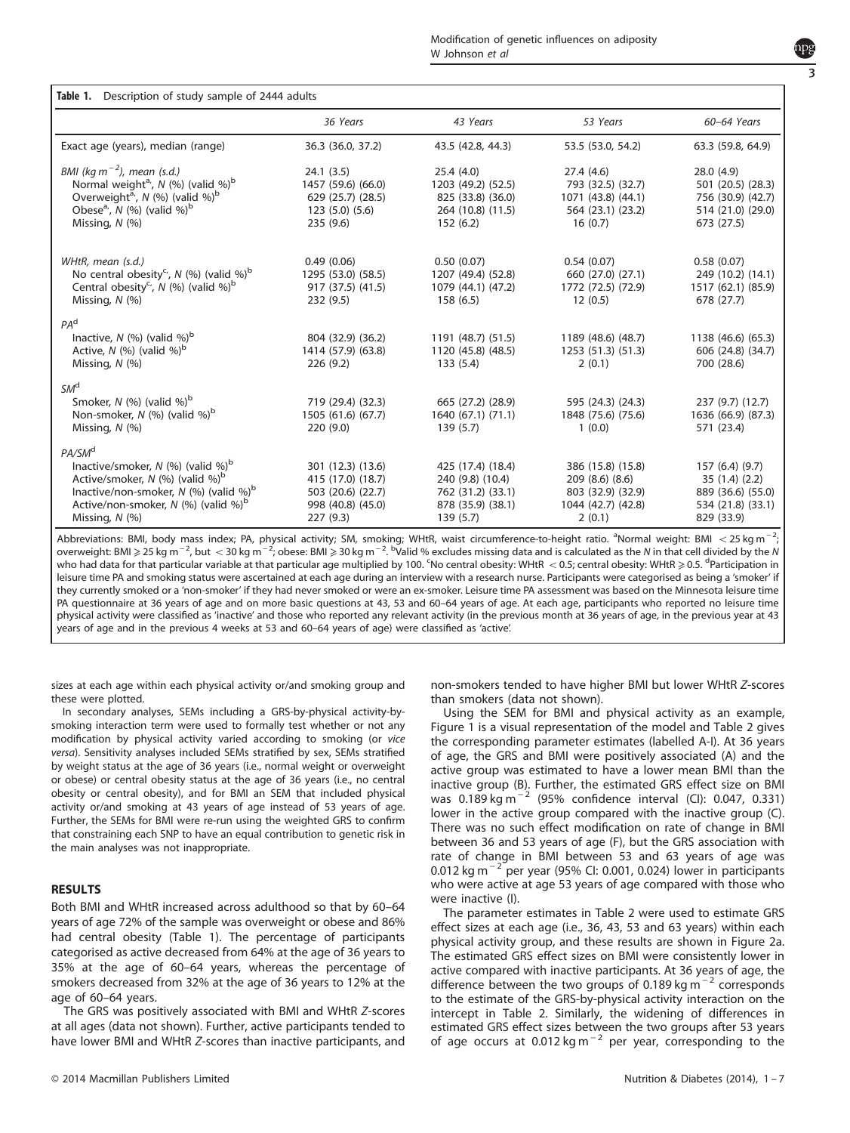# 3

<span id="page-2-0"></span>

| Table 1.<br>Description of study sample of 2444 adults                                                                                                                                                                                                 |                                                                                              |                                                                                             |                                                                                           |                                                                                        |  |  |
|--------------------------------------------------------------------------------------------------------------------------------------------------------------------------------------------------------------------------------------------------------|----------------------------------------------------------------------------------------------|---------------------------------------------------------------------------------------------|-------------------------------------------------------------------------------------------|----------------------------------------------------------------------------------------|--|--|
|                                                                                                                                                                                                                                                        | 36 Years                                                                                     | 43 Years                                                                                    | 53 Years                                                                                  | 60-64 Years                                                                            |  |  |
| Exact age (years), median (range)                                                                                                                                                                                                                      | 36.3 (36.0, 37.2)                                                                            | 43.5 (42.8, 44.3)                                                                           | 53.5 (53.0, 54.2)                                                                         | 63.3 (59.8, 64.9)                                                                      |  |  |
| BMI (kg m <sup><math>-2</math></sup> ), mean (s.d.)<br>Normal weight <sup>a</sup> , $N$ (%) (valid %) <sup>b</sup><br>Overweight <sup>a</sup> , N (%) (valid %) <sup>b</sup><br>Obese <sup>a</sup> ', $N$ (%) (valid %) <sup>b</sup><br>Missing, N (%) | 24.1(3.5)<br>1457 (59.6) (66.0)<br>629 (25.7) (28.5)<br>123(5.0)(5.6)<br>235 (9.6)           | 25.4(4.0)<br>1203 (49.2) (52.5)<br>825 (33.8) (36.0)<br>264 (10.8) (11.5)<br>152(6.2)       | 27.4(4.6)<br>793 (32.5) (32.7)<br>1071 (43.8) (44.1)<br>564 (23.1) (23.2)<br>16(0.7)      | 28.0(4.9)<br>501 (20.5) (28.3)<br>756 (30.9) (42.7)<br>514 (21.0) (29.0)<br>673 (27.5) |  |  |
| WHtR, mean (s.d.)<br>No central obesity <sup>c</sup> , N (%) (valid %) <sup>b</sup><br>Central obesity <sup>c</sup> , N (%) (valid %) <sup>b</sup><br>Missing, $N$ (%)                                                                                 | 0.49(0.06)<br>1295 (53.0) (58.5)<br>917 (37.5) (41.5)<br>232 (9.5)                           | 0.50(0.07)<br>1207 (49.4) (52.8)<br>1079 (44.1) (47.2)<br>158(6.5)                          | 0.54(0.07)<br>660 (27.0) (27.1)<br>1772 (72.5) (72.9)<br>12(0.5)                          | 0.58(0.07)<br>249 (10.2) (14.1)<br>1517 (62.1) (85.9)<br>678 (27.7)                    |  |  |
| PA <sup>d</sup><br>Inactive, $N$ (%) (valid %) <sup>b</sup><br>Active, $N$ (%) (valid %) <sup>b</sup><br>Missing, $N$ (%)                                                                                                                              | 804 (32.9) (36.2)<br>1414 (57.9) (63.8)<br>226(9.2)                                          | 1191 (48.7) (51.5)<br>1120 (45.8) (48.5)<br>133(5.4)                                        | 1189 (48.6) (48.7)<br>1253(51.3)(51.3)<br>2(0.1)                                          | 1138 (46.6) (65.3)<br>606 (24.8) (34.7)<br>700 (28.6)                                  |  |  |
| SM <sup>d</sup><br>Smoker, $N$ (%) (valid %) <sup>b</sup><br>Non-smoker, $N$ (%) (valid %) <sup>b</sup><br>Missing, $N$ (%)                                                                                                                            | 719 (29.4) (32.3)<br>1505 (61.6) (67.7)<br>220(9.0)                                          | 665 (27.2) (28.9)<br>1640 (67.1) (71.1)<br>139(5.7)                                         | 595 (24.3) (24.3)<br>1848 (75.6) (75.6)<br>1(0.0)                                         | 237 (9.7) (12.7)<br>1636 (66.9) (87.3)<br>571 (23.4)                                   |  |  |
| PA/SM <sup>d</sup><br>Inactive/smoker, $N$ (%) (valid %) <sup>b</sup><br>Active/smoker, N (%) (valid %) <sup>b</sup><br>Inactive/non-smoker, $N$ (%) (valid %) <sup>b</sup><br>Active/non-smoker, $N$ (%) (valid %) <sup>b</sup><br>Missing, N (%)     | 301 (12.3) (13.6)<br>415 (17.0) (18.7)<br>503 (20.6) (22.7)<br>998 (40.8) (45.0)<br>227(9.3) | 425 (17.4) (18.4)<br>240 (9.8) (10.4)<br>762 (31.2) (33.1)<br>878 (35.9) (38.1)<br>139(5.7) | 386 (15.8) (15.8)<br>209 (8.6) (8.6)<br>803 (32.9) (32.9)<br>1044 (42.7) (42.8)<br>2(0.1) | 157(6.4)(9.7)<br>35(1.4)(2.2)<br>889 (36.6) (55.0)<br>534 (21.8) (33.1)<br>829 (33.9)  |  |  |

Abbreviations: BMI, body mass index; PA, physical activity; SM, smoking; WHtR, waist circumference-to-height ratio. <sup>a</sup>Normal weight: BMI < 25 kg m<sup>-2</sup>, overweight: BMI ≥25 kg m<sup>−2</sup>, but < 30 kg m<sup>−2</sup>, obese: BMI ≥30 kg m<sup>−2. b</sup>Valid % excludes missing data and is calculated as the N in that cell divided by the N who had data for that particular variable at that particular age multiplied by 100. <sup>c</sup>No central obesity: WHtR  $<$  0.5; central obesity: WHtR  $\ge$  0.5. <sup>d</sup>Participation in leisure time PA and smoking status were ascertained at each age during an interview with a research nurse. Participants were categorised as being a 'smoker' if they currently smoked or a 'non-smoker' if they had never smoked or were an ex-smoker. Leisure time PA assessment was based on the Minnesota leisure time PA questionnaire at 36 years of age and on more basic questions at 43, 53 and 60–64 years of age. At each age, participants who reported no leisure time physical activity were classified as 'inactive' and those who reported any relevant activity (in the previous month at 36 years of age, in the previous year at 43 years of age and in the previous 4 weeks at 53 and 60–64 years of age) were classified as 'active'.

sizes at each age within each physical activity or/and smoking group and these were plotted.

In secondary analyses, SEMs including a GRS-by-physical activity-bysmoking interaction term were used to formally test whether or not any modification by physical activity varied according to smoking (or vice versa). Sensitivity analyses included SEMs stratified by sex, SEMs stratified by weight status at the age of 36 years (i.e., normal weight or overweight or obese) or central obesity status at the age of 36 years (i.e., no central obesity or central obesity), and for BMI an SEM that included physical activity or/and smoking at 43 years of age instead of 53 years of age. Further, the SEMs for BMI were re-run using the weighted GRS to confirm that constraining each SNP to have an equal contribution to genetic risk in the main analyses was not inappropriate.

#### RESULTS

Both BMI and WHtR increased across adulthood so that by 60–64 years of age 72% of the sample was overweight or obese and 86% had central obesity (Table 1). The percentage of participants categorised as active decreased from 64% at the age of 36 years to 35% at the age of 60–64 years, whereas the percentage of smokers decreased from 32% at the age of 36 years to 12% at the age of 60–64 years.

The GRS was positively associated with BMI and WHtR Z-scores at all ages (data not shown). Further, active participants tended to have lower BMI and WHtR Z-scores than inactive participants, and non-smokers tended to have higher BMI but lower WHtR Z-scores than smokers (data not shown).

Using the SEM for BMI and physical activity as an example, [Figure 1](#page-3-0) is a visual representation of the model and [Table 2](#page-4-0) gives the corresponding parameter estimates (labelled A-I). At 36 years of age, the GRS and BMI were positively associated (A) and the active group was estimated to have a lower mean BMI than the inactive group (B). Further, the estimated GRS effect size on BMI was  $0.189 \text{ kg m}^{-2}$  (95% confidence interval (CI): 0.047, 0.331) lower in the active group compared with the inactive group (C). There was no such effect modification on rate of change in BMI between 36 and 53 years of age (F), but the GRS association with rate of change in BMI between 53 and 63 years of age was 0.012 kg m<sup>−2</sup> per year (95% CI: 0.001, 0.024) lower in participants who were active at age 53 years of age compared with those who were inactive (I).

The parameter estimates in [Table 2](#page-4-0) were used to estimate GRS effect sizes at each age (i.e., 36, 43, 53 and 63 years) within each physical activity group, and these results are shown in [Figure 2a](#page-5-0). The estimated GRS effect sizes on BMI were consistently lower in active compared with inactive participants. At 36 years of age, the difference between the two groups of 0.189 kg m<sup>-2</sup> corresponds to the estimate of the GRS-by-physical activity interaction on the intercept in [Table 2](#page-4-0). Similarly, the widening of differences in estimated GRS effect sizes between the two groups after 53 years of age occurs at 0.012 kg m<sup>-2</sup> per year, corresponding to the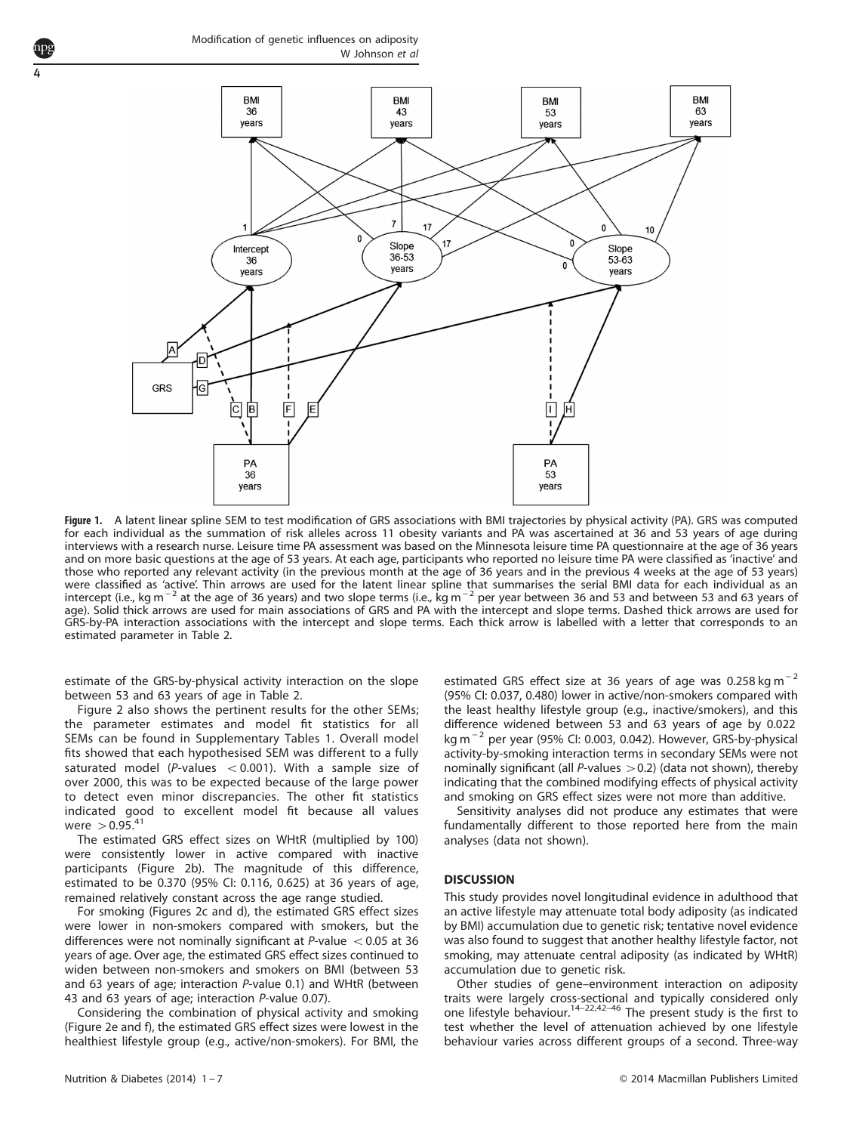<span id="page-3-0"></span>4



Figure 1. A latent linear spline SEM to test modification of GRS associations with BMI trajectories by physical activity (PA). GRS was computed for each individual as the summation of risk alleles across 11 obesity variants and PA was ascertained at 36 and 53 years of age during interviews with a research nurse. Leisure time PA assessment was based on the Minnesota leisure time PA questionnaire at the age of 36 years and on more basic questions at the age of 53 years. At each age, participants who reported no leisure time PA were classified as 'inactive' and those who reported any relevant activity (in the previous month at the age of 36 years and in the previous 4 weeks at the age of 53 years) were classified as 'active'. Thin arrows are used for the latent linear spline that summarises the serial BMI data for each individual as an intercept (i.e., kg m<sup>−2</sup> at the age of 36 years) and two slope terms (i.e., kg m<sup>−2</sup> per year between 36 and 53 and between 53 and 63 years of age). Solid thick arrows are used for main associations of GRS and PA with the intercept and slope terms. Dashed thick arrows are used for GRS-by-PA interaction associations with the intercept and slope terms. Each thick arrow is labelled with a letter that corresponds to an estimated parameter in [Table 2.](#page-4-0)

estimate of the GRS-by-physical activity interaction on the slope between 53 and 63 years of age in [Table 2](#page-4-0).

[Figure 2](#page-5-0) also shows the pertinent results for the other SEMs; the parameter estimates and model fit statistics for all SEMs can be found in Supplementary Tables 1. Overall model fits showed that each hypothesised SEM was different to a fully saturated model (P-values  $< 0.001$ ). With a sample size of over 2000, this was to be expected because of the large power to detect even minor discrepancies. The other fit statistics indicated good to excellent model fit because all values were  $> 0.95.^{41}$  $> 0.95.^{41}$  $> 0.95.^{41}$ 

The estimated GRS effect sizes on WHtR (multiplied by 100) were consistently lower in active compared with inactive participants ([Figure 2b\)](#page-5-0). The magnitude of this difference, estimated to be 0.370 (95% CI: 0.116, 0.625) at 36 years of age, remained relatively constant across the age range studied.

For smoking ([Figures 2c and d](#page-5-0)), the estimated GRS effect sizes were lower in non-smokers compared with smokers, but the differences were not nominally significant at P-value  $< 0.05$  at 36 years of age. Over age, the estimated GRS effect sizes continued to widen between non-smokers and smokers on BMI (between 53 and 63 years of age; interaction P-value 0.1) and WHtR (between 43 and 63 years of age; interaction P-value 0.07).

Considering the combination of physical activity and smoking ([Figure 2e and f](#page-5-0)), the estimated GRS effect sizes were lowest in the healthiest lifestyle group (e.g., active/non-smokers). For BMI, the estimated GRS effect size at 36 years of age was 0.258 kg m<sup>-2</sup> (95% CI: 0.037, 0.480) lower in active/non-smokers compared with the least healthy lifestyle group (e.g., inactive/smokers), and this difference widened between 53 and 63 years of age by 0.022 kg m<sup>−</sup> <sup>2</sup> per year (95% CI: 0.003, 0.042). However, GRS-by-physical activity-by-smoking interaction terms in secondary SEMs were not nominally significant (all  $P$ -values  $>$  0.2) (data not shown), thereby indicating that the combined modifying effects of physical activity and smoking on GRS effect sizes were not more than additive.

Sensitivity analyses did not produce any estimates that were fundamentally different to those reported here from the main analyses (data not shown).

#### **DISCUSSION**

This study provides novel longitudinal evidence in adulthood that an active lifestyle may attenuate total body adiposity (as indicated by BMI) accumulation due to genetic risk; tentative novel evidence was also found to suggest that another healthy lifestyle factor, not smoking, may attenuate central adiposity (as indicated by WHtR) accumulation due to genetic risk.

Other studies of gene–environment interaction on adiposity traits were largely cross-sectional and typically considered only<br>one lifestyle behaviour.<sup>14–[22,42](#page-6-0)–46</sup> The present study is the first to test whether the level of attenuation achieved by one lifestyle behaviour varies across different groups of a second. Three-way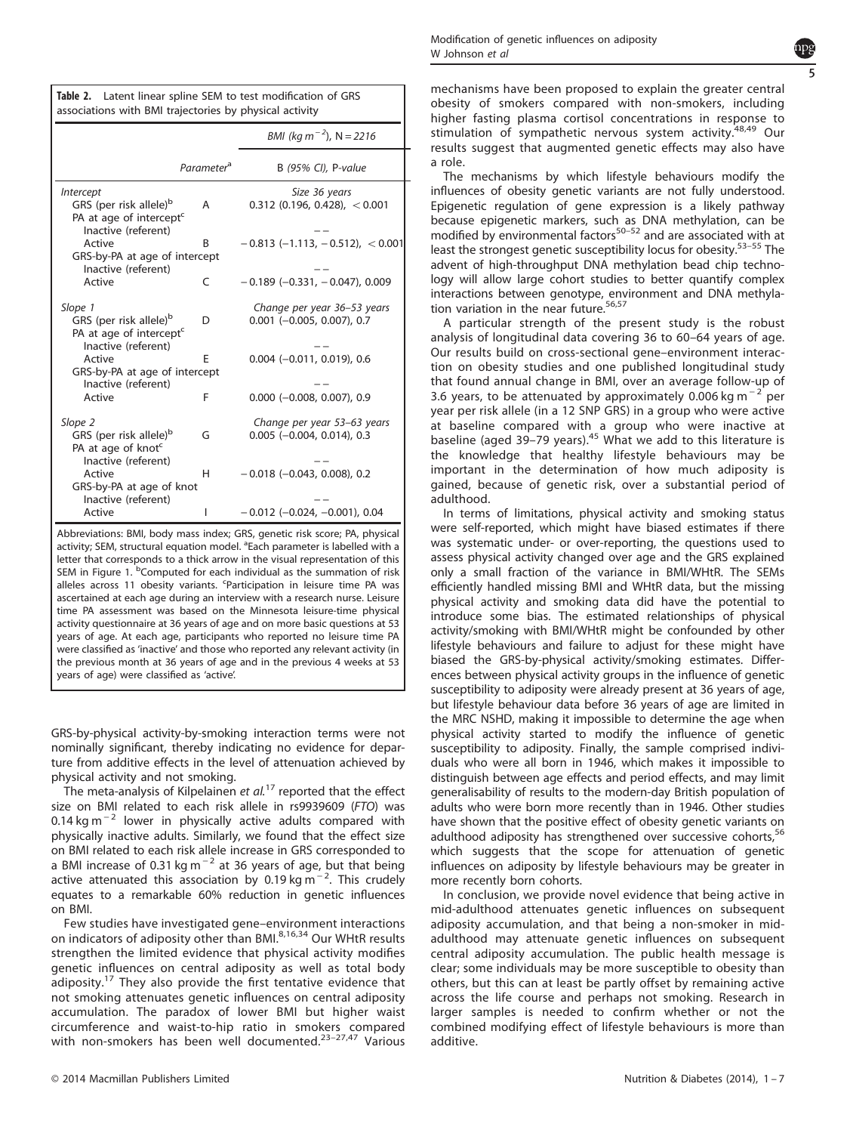<span id="page-4-0"></span>

| Table 2. Latent linear spline SEM to test modification of GRS |  |
|---------------------------------------------------------------|--|
| associations with BMI trajectories by physical activity       |  |

|                                                                                                                             |                        | BMI (kg m <sup>-2</sup> ), N = 2216                         |
|-----------------------------------------------------------------------------------------------------------------------------|------------------------|-------------------------------------------------------------|
|                                                                                                                             | Parameter <sup>a</sup> | B (95% CI), P-value                                         |
| <i><b>Intercept</b></i><br>GRS (per risk allele) <sup>b</sup><br>PA at age of intercept <sup>c</sup><br>Inactive (referent) | A                      | Size 36 years<br>$0.312$ (0.196, 0.428), < 0.001            |
| Active<br>GRS-by-PA at age of intercept                                                                                     | B                      | $-0.813$ (-1.113, -0.512), <0.001                           |
| Inactive (referent)<br>Active                                                                                               | C                      | $-0.189$ ( $-0.331$ , $-0.047$ ), 0.009                     |
| Slope 1<br>GRS (per risk allele) <sup>b</sup><br>PA at age of intercept <sup>c</sup>                                        | D                      | Change per year 36–53 years<br>$0.001$ (-0.005, 0.007), 0.7 |
| Inactive (referent)<br>Active<br>GRS-by-PA at age of intercept                                                              | F                      | $0.004$ (-0.011, 0.019), 0.6                                |
| Inactive (referent)<br>Active                                                                                               | F                      | $0.000$ (-0.008, 0.007), 0.9                                |
| Slope 2<br>GRS (per risk allele) <sup>b</sup><br>PA at age of knot <sup>c</sup>                                             | G                      | Change per year 53–63 years<br>$0.005$ (-0.004, 0.014), 0.3 |
| Inactive (referent)<br>Active<br>GRS-by-PA at age of knot                                                                   | н                      | $-0.018$ ( $-0.043$ , 0.008), 0.2                           |
| Inactive (referent)<br>Active                                                                                               | I                      | $-0.012$ ( $-0.024$ , $-0.001$ ), 0.04                      |

Abbreviations: BMI, body mass index; GRS, genetic risk score; PA, physical activity; SEM, structural equation model. <sup>a</sup>Each parameter is labelled with a letter that corresponds to a thick arrow in the visual representation of this SEM in [Figure 1](#page-3-0). <sup>b</sup>Computed for each individual as the summation of risk alleles across 11 obesity variants. <sup>c</sup>Participation in leisure time PA was ascertained at each age during an interview with a research nurse. Leisure time PA assessment was based on the Minnesota leisure-time physical activity questionnaire at 36 years of age and on more basic questions at 53 years of age. At each age, participants who reported no leisure time PA were classified as 'inactive' and those who reported any relevant activity (in the previous month at 36 years of age and in the previous 4 weeks at 53 years of age) were classified as 'active'.

GRS-by-physical activity-by-smoking interaction terms were not nominally significant, thereby indicating no evidence for departure from additive effects in the level of attenuation achieved by physical activity and not smoking.

The meta-analysis of Kilpelainen et  $al$ .<sup>[17](#page-6-0)</sup> reported that the effect size on BMI related to each risk allele in rs9939609 (FTO) was  $0.14$  kg m<sup>-2</sup> lower in physically active adults compared with physically inactive adults. Similarly, we found that the effect size on BMI related to each risk allele increase in GRS corresponded to a BMI increase of 0.31 kg m<sup>-2</sup> at 36 years of age, but that being active attenuated this association by 0.19 kg m<sup>-2</sup>. This crudely equates to a remarkable 60% reduction in genetic influences on BMI.

Few studies have investigated gene–environment interactions on indicators of adiposity other than BMI.<sup>[8](#page-5-0)[,16](#page-6-0),[34](#page-6-0)</sup> Our WHtR results strengthen the limited evidence that physical activity modifies genetic influences on central adiposity as well as total body adiposity.[17](#page-6-0) They also provide the first tentative evidence that not smoking attenuates genetic influences on central adiposity accumulation. The paradox of lower BMI but higher waist circumference and waist-to-hip ratio in smokers compared with non-smokers has been well documented.<sup>23-[27,47](#page-6-0)</sup> Various mechanisms have been proposed to explain the greater central obesity of smokers compared with non-smokers, including higher fasting plasma cortisol concentrations in response to stimulation of sympathetic nervous system activity.<sup>[48,49](#page-6-0)</sup> Our results suggest that augmented genetic effects may also have a role.

The mechanisms by which lifestyle behaviours modify the influences of obesity genetic variants are not fully understood. Epigenetic regulation of gene expression is a likely pathway because epigenetic markers, suc[h as](#page-6-0) DNA methylation, can be modified by environmental factors<sup>50–52</sup> and are associated with at least the strongest genetic susceptibility locus for obesity.<sup>53-[55](#page-6-0)</sup> The advent of high-throughput DNA methylation bead chip technology will allow large cohort studies to better quantify complex interactions between genotype, environment and DNA methylation variation in the near future.[56](#page-6-0),[57](#page-6-0)

A particular strength of the present study is the robust analysis of longitudinal data covering 36 to 60–64 years of age. Our results build on cross-sectional gene–environment interaction on obesity studies and one published longitudinal study that found annual change in BMI, over an average follow-up of 3.6 years, to be attenuated by approximately 0.006 kg m<sup>-2</sup> per year per risk allele (in a 12 SNP GRS) in a group who were active at baseline compared with a group who were inactive at baseline (aged 39–79 years).<sup>[45](#page-6-0)</sup> What we add to this literature is the knowledge that healthy lifestyle behaviours may be important in the determination of how much adiposity is gained, because of genetic risk, over a substantial period of adulthood.

In terms of limitations, physical activity and smoking status were self-reported, which might have biased estimates if there was systematic under- or over-reporting, the questions used to assess physical activity changed over age and the GRS explained only a small fraction of the variance in BMI/WHtR. The SEMs efficiently handled missing BMI and WHtR data, but the missing physical activity and smoking data did have the potential to introduce some bias. The estimated relationships of physical activity/smoking with BMI/WHtR might be confounded by other lifestyle behaviours and failure to adjust for these might have biased the GRS-by-physical activity/smoking estimates. Differences between physical activity groups in the influence of genetic susceptibility to adiposity were already present at 36 years of age, but lifestyle behaviour data before 36 years of age are limited in the MRC NSHD, making it impossible to determine the age when physical activity started to modify the influence of genetic susceptibility to adiposity. Finally, the sample comprised individuals who were all born in 1946, which makes it impossible to distinguish between age effects and period effects, and may limit generalisability of results to the modern-day British population of adults who were born more recently than in 1946. Other studies have shown that the positive effect of obesity genetic variants on adulthood adiposity has strengthened over successive cohorts,<sup>[56](#page-6-0)</sup> which suggests that the scope for attenuation of genetic influences on adiposity by lifestyle behaviours may be greater in more recently born cohorts.

In conclusion, we provide novel evidence that being active in mid-adulthood attenuates genetic influences on subsequent adiposity accumulation, and that being a non-smoker in midadulthood may attenuate genetic influences on subsequent central adiposity accumulation. The public health message is clear; some individuals may be more susceptible to obesity than others, but this can at least be partly offset by remaining active across the life course and perhaps not smoking. Research in larger samples is needed to confirm whether or not the combined modifying effect of lifestyle behaviours is more than additive.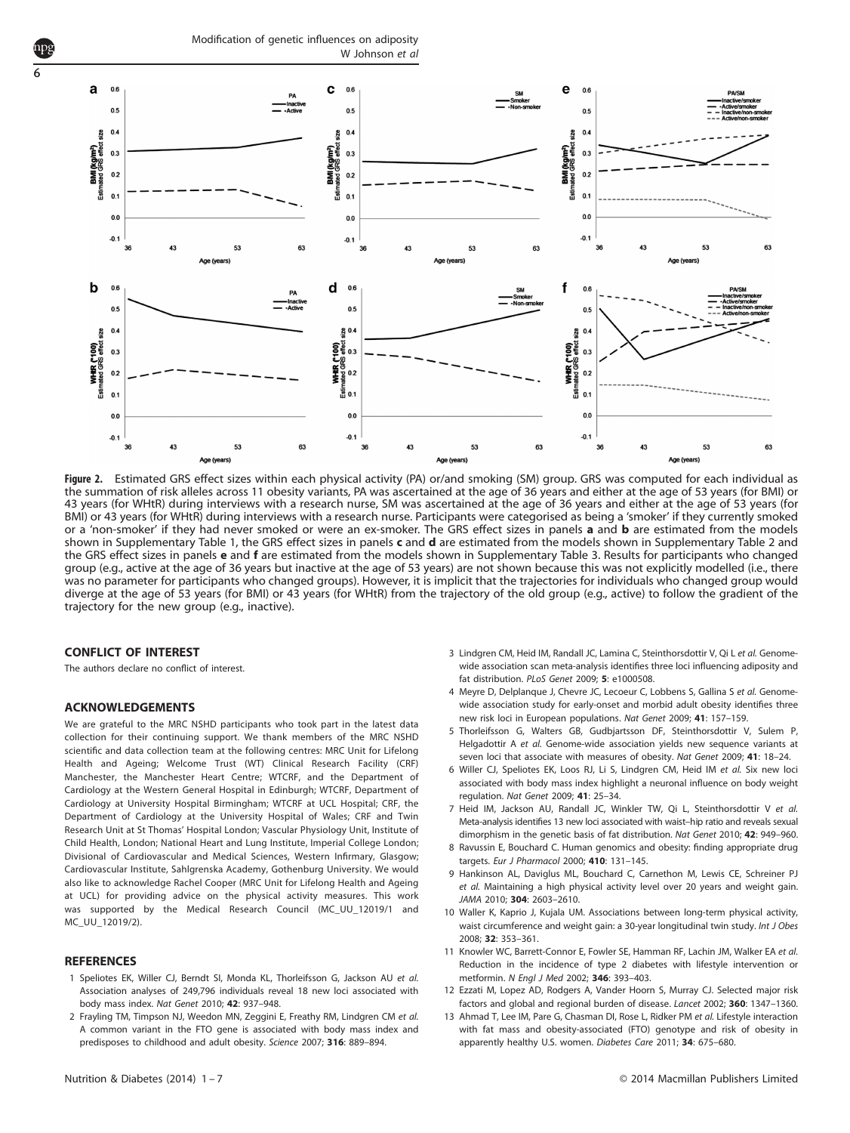Modification of genetic influences on adiposity W Johnson et al.



Figure 2. Estimated GRS effect sizes within each physical activity (PA) or/and smoking (SM) group. GRS was computed for each individual as the summation of risk alleles across 11 obesity variants, PA was ascertained at the age of 36 years and either at the age of 53 years (for BMI) or 43 years (for WHtR) during interviews with a research nurse, SM was ascertained at the age of 36 years and either at the age of 53 years (for BMI) or 43 years (for WHtR) during interviews with a research nurse. Participants were categorised as being a 'smoker' if they currently smoked or a 'non-smoker' if they had never smoked or were an ex-smoker. The GRS effect sizes in panels a and b are estimated from the models shown in Supplementary Table 1, the GRS effect sizes in panels c and d are estimated from the models shown in Supplementary Table 2 and the GRS effect sizes in panels e and f are estimated from the models shown in Supplementary Table 3. Results for participants who changed group (e.g., active at the age of 36 years but inactive at the age of 53 years) are not shown because this was not explicitly modelled (i.e., there was no parameter for participants who changed groups). However, it is implicit that the trajectories for individuals who changed group would diverge at the age of 53 years (for BMI) or 43 years (for WHtR) from the trajectory of the old group (e.g., active) to follow the gradient of the trajectory for the new group (e.g., inactive).

#### CONFLICT OF INTEREST

<span id="page-5-0"></span>6

The authors declare no conflict of interest.

#### ACKNOWLEDGEMENTS

We are grateful to the MRC NSHD participants who took part in the latest data collection for their continuing support. We thank members of the MRC NSHD scientific and data collection team at the following centres: MRC Unit for Lifelong Health and Ageing; Welcome Trust (WT) Clinical Research Facility (CRF) Manchester, the Manchester Heart Centre; WTCRF, and the Department of Cardiology at the Western General Hospital in Edinburgh; WTCRF, Department of Cardiology at University Hospital Birmingham; WTCRF at UCL Hospital; CRF, the Department of Cardiology at the University Hospital of Wales; CRF and Twin Research Unit at St Thomas' Hospital London; Vascular Physiology Unit, Institute of Child Health, London; National Heart and Lung Institute, Imperial College London; Divisional of Cardiovascular and Medical Sciences, Western Infirmary, Glasgow; Cardiovascular Institute, Sahlgrenska Academy, Gothenburg University. We would also like to acknowledge Rachel Cooper (MRC Unit for Lifelong Health and Ageing at UCL) for providing advice on the physical activity measures. This work was supported by the Medical Research Council (MC\_UU\_12019/1 and MC\_UU\_12019/2).

#### **REFERENCES**

- 1 Speliotes EK, Willer CJ, Berndt SI, Monda KL, Thorleifsson G, Jackson AU et al. Association analyses of 249,796 individuals reveal 18 new loci associated with body mass index. Nat Genet 2010; 42: 937–948.
- 2 Frayling TM, Timpson NJ, Weedon MN, Zeggini E, Freathy RM, Lindgren CM et al. A common variant in the FTO gene is associated with body mass index and predisposes to childhood and adult obesity. Science 2007; 316: 889–894.
- 3 Lindgren CM, Heid IM, Randall JC, Lamina C, Steinthorsdottir V, Qi L et al. Genomewide association scan meta-analysis identifies three loci influencing adiposity and fat distribution. PLoS Genet 2009; 5: e1000508.
- 4 Meyre D, Delplanque J, Chevre JC, Lecoeur C, Lobbens S, Gallina S et al. Genomewide association study for early-onset and morbid adult obesity identifies three new risk loci in European populations. Nat Genet 2009; 41: 157–159.
- 5 Thorleifsson G, Walters GB, Gudbjartsson DF, Steinthorsdottir V, Sulem P, Helgadottir A et al. Genome-wide association yields new sequence variants at seven loci that associate with measures of obesity. Nat Genet 2009; 41: 18–24.
- 6 Willer CJ, Speliotes EK, Loos RJ, Li S, Lindgren CM, Heid IM et al. Six new loci associated with body mass index highlight a neuronal influence on body weight regulation. Nat Genet 2009; 41: 25–34.
- 7 Heid IM, Jackson AU, Randall JC, Winkler TW, Qi L, Steinthorsdottir V et al. Meta-analysis identifies 13 new loci associated with waist–hip ratio and reveals sexual dimorphism in the genetic basis of fat distribution. Nat Genet 2010; 42: 949–960.
- 8 Ravussin E, Bouchard C. Human genomics and obesity: finding appropriate drug targets. Eur J Pharmacol 2000; 410: 131–145.
- 9 Hankinson AL, Daviglus ML, Bouchard C, Carnethon M, Lewis CE, Schreiner PJ et al. Maintaining a high physical activity level over 20 years and weight gain. JAMA 2010; 304: 2603–2610.
- 10 Waller K, Kaprio J, Kujala UM. Associations between long-term physical activity, waist circumference and weight gain: a 30-year longitudinal twin study. Int J Obes 2008; 32: 353–361.
- 11 Knowler WC, Barrett-Connor E, Fowler SE, Hamman RF, Lachin JM, Walker EA et al. Reduction in the incidence of type 2 diabetes with lifestyle intervention or metformin. N Engl J Med 2002; 346: 393–403.
- 12 Ezzati M, Lopez AD, Rodgers A, Vander Hoorn S, Murray CJ. Selected major risk factors and global and regional burden of disease. Lancet 2002; 360: 1347–1360.
- 13 Ahmad T, Lee IM, Pare G, Chasman DI, Rose L, Ridker PM et al. Lifestyle interaction with fat mass and obesity-associated (FTO) genotype and risk of obesity in apparently healthy U.S. women. Diabetes Care 2011; 34: 675-680.